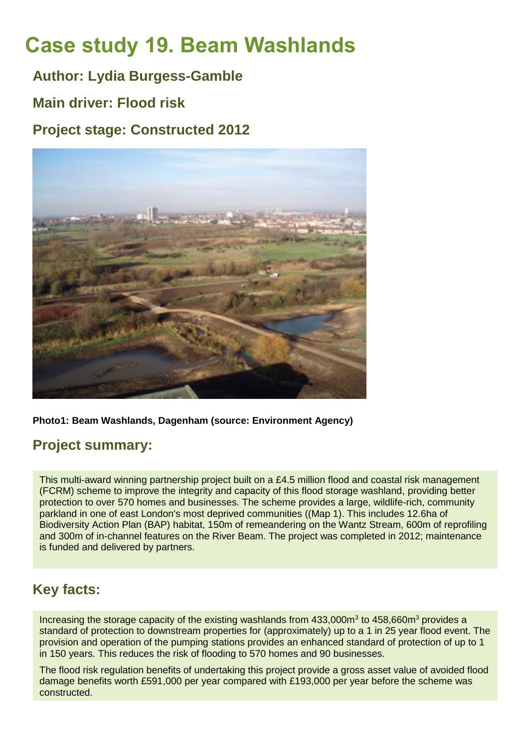# **Case study 19. Beam Washlands**

**Author: Lydia Burgess-Gamble**

**Main driver: Flood risk**

**Project stage: Constructed 2012**



**Photo1: Beam Washlands, Dagenham (source: Environment Agency)**

# **Project summary:**

This multi-award winning partnership project built on a £4.5 million flood and coastal risk management (FCRM) scheme to improve the integrity and capacity of this flood storage washland, providing better protection to over 570 homes and businesses. The scheme provides a large, wildlife-rich, community parkland in one of east London's most deprived communities ((Map 1). This includes 12.6ha of Biodiversity Action Plan (BAP) habitat, 150m of remeandering on the Wantz Stream, 600m of reprofiling and 300m of in-channel features on the River Beam. The project was completed in 2012; maintenance is funded and delivered by partners.

# **Key facts:**

Increasing the storage capacity of the existing washlands from  $433,000\text{m}^3$  to  $458,660\text{m}^3$  provides a standard of protection to downstream properties for (approximately) up to a 1 in 25 year flood event. The provision and operation of the pumping stations provides an enhanced standard of protection of up to 1 in 150 years. This reduces the risk of flooding to 570 homes and 90 businesses.

The flood risk regulation benefits of undertaking this project provide a gross asset value of avoided flood damage benefits worth £591,000 per year compared with £193,000 per year before the scheme was constructed.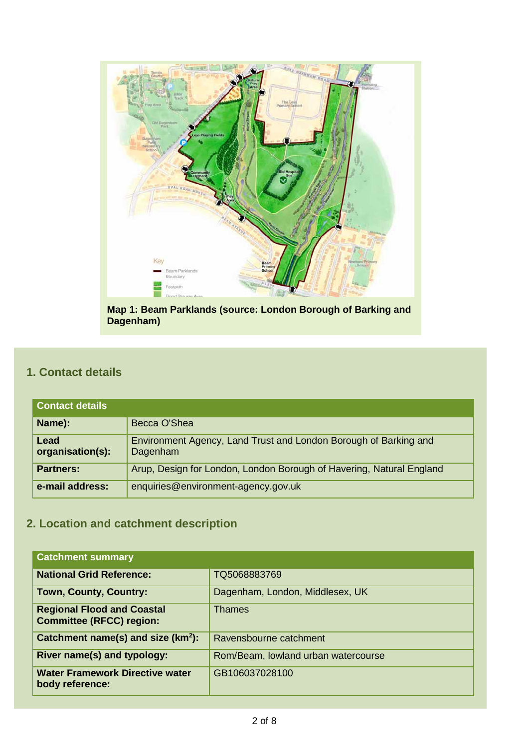

**Map 1: Beam Parklands (source: London Borough of Barking and Dagenham)**

# **1. Contact details**

| <b>Contact details</b>   |                                                                              |
|--------------------------|------------------------------------------------------------------------------|
| Name):                   | Becca O'Shea                                                                 |
| Lead<br>organisation(s): | Environment Agency, Land Trust and London Borough of Barking and<br>Dagenham |
| <b>Partners:</b>         | Arup, Design for London, London Borough of Havering, Natural England         |
| e-mail address:          | enquiries@environment-agency.gov.uk                                          |

# **2. Location and catchment description**

| <b>Catchment summary</b>                                             |                                     |
|----------------------------------------------------------------------|-------------------------------------|
| <b>National Grid Reference:</b>                                      | TQ5068883769                        |
| Town, County, Country:                                               | Dagenham, London, Middlesex, UK     |
| <b>Regional Flood and Coastal</b><br><b>Committee (RFCC) region:</b> | <b>Thames</b>                       |
| Catchment name(s) and size (km <sup>2</sup> ):                       | Ravensbourne catchment              |
| River name(s) and typology:                                          | Rom/Beam, lowland urban watercourse |
| <b>Water Framework Directive water</b><br>body reference:            | GB106037028100                      |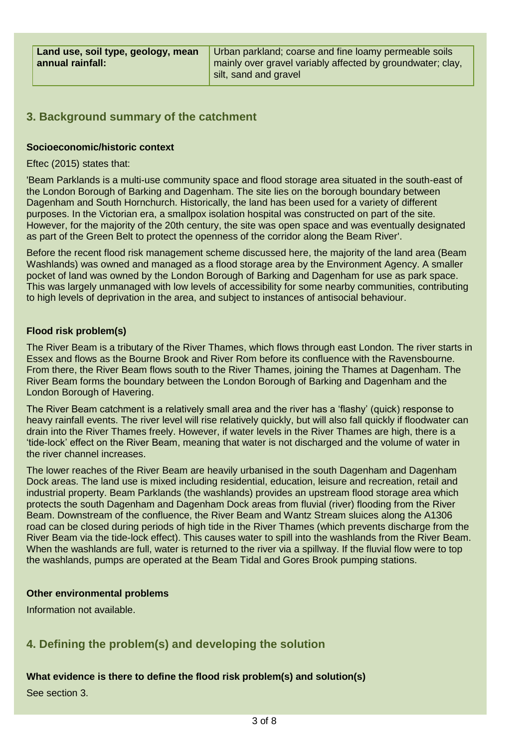Urban parkland; coarse and fine loamy permeable soils mainly over gravel variably affected by groundwater; clay, silt, sand and gravel

## **3. Background summary of the catchment**

#### **Socioeconomic/historic context**

#### Eftec (2015) states that:

'Beam Parklands is a multi-use community space and flood storage area situated in the south-east of the London Borough of Barking and Dagenham. The site lies on the borough boundary between Dagenham and South Hornchurch. Historically, the land has been used for a variety of different purposes. In the Victorian era, a smallpox isolation hospital was constructed on part of the site. However, for the majority of the 20th century, the site was open space and was eventually designated as part of the Green Belt to protect the openness of the corridor along the Beam River'.

Before the recent flood risk management scheme discussed here, the majority of the land area (Beam Washlands) was owned and managed as a flood storage area by the Environment Agency. A smaller pocket of land was owned by the London Borough of Barking and Dagenham for use as park space. This was largely unmanaged with low levels of accessibility for some nearby communities, contributing to high levels of deprivation in the area, and subject to instances of antisocial behaviour.

#### **Flood risk problem(s)**

The River Beam is a tributary of the River Thames, which flows through east London. The river starts in Essex and flows as the Bourne Brook and River Rom before its confluence with the Ravensbourne. From there, the River Beam flows south to the River Thames, joining the Thames at Dagenham. The River Beam forms the boundary between the London Borough of Barking and Dagenham and the London Borough of Havering.

The River Beam catchment is a relatively small area and the river has a 'flashy' (quick) response to heavy rainfall events. The river level will rise relatively quickly, but will also fall quickly if floodwater can drain into the River Thames freely. However, if water levels in the River Thames are high, there is a 'tide-lock' effect on the River Beam, meaning that water is not discharged and the volume of water in the river channel increases.

The lower reaches of the River Beam are heavily urbanised in the south Dagenham and Dagenham Dock areas. The land use is mixed including residential, education, leisure and recreation, retail and industrial property. Beam Parklands (the washlands) provides an upstream flood storage area which protects the south Dagenham and Dagenham Dock areas from fluvial (river) flooding from the River Beam. Downstream of the confluence, the River Beam and Wantz Stream sluices along the A1306 road can be closed during periods of high tide in the River Thames (which prevents discharge from the River Beam via the tide-lock effect). This causes water to spill into the washlands from the River Beam. When the washlands are full, water is returned to the river via a spillway. If the fluvial flow were to top the washlands, pumps are operated at the Beam Tidal and Gores Brook pumping stations.

#### **Other environmental problems**

Information not available.

# **4. Defining the problem(s) and developing the solution**

#### **What evidence is there to define the flood risk problem(s) and solution(s)**

See section 3.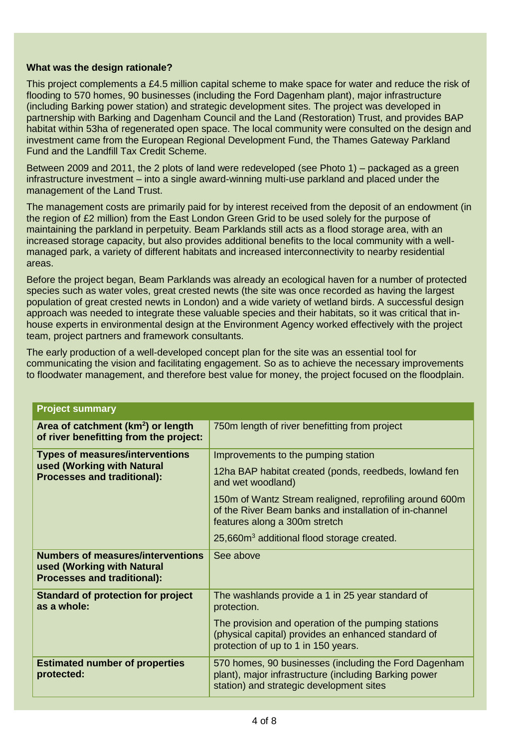#### **What was the design rationale?**

This project complements a £4.5 million capital scheme to make space for water and reduce the risk of flooding to 570 homes, 90 businesses (including the Ford Dagenham plant), major infrastructure (including Barking power station) and strategic development sites. The project was developed in partnership with Barking and Dagenham Council and the Land (Restoration) Trust, and provides BAP habitat within 53ha of regenerated open space. The local community were consulted on the design and investment came from the European Regional Development Fund, the Thames Gateway Parkland Fund and the Landfill Tax Credit Scheme.

Between 2009 and 2011, the 2 plots of land were redeveloped (see Photo 1) – packaged as a green infrastructure investment – into a single award-winning multi-use parkland and placed under the management of the Land Trust.

The management costs are primarily paid for by interest received from the deposit of an endowment (in the region of £2 million) from the East London Green Grid to be used solely for the purpose of maintaining the parkland in perpetuity. Beam Parklands still acts as a flood storage area, with an increased storage capacity, but also provides additional benefits to the local community with a wellmanaged park, a variety of different habitats and increased interconnectivity to nearby residential areas.

Before the project began, Beam Parklands was already an ecological haven for a number of protected species such as water voles, great crested newts (the site was once recorded as having the largest population of great crested newts in London) and a wide variety of wetland birds. A successful design approach was needed to integrate these valuable species and their habitats, so it was critical that inhouse experts in environmental design at the Environment Agency worked effectively with the project team, project partners and framework consultants.

The early production of a well-developed concept plan for the site was an essential tool for communicating the vision and facilitating engagement. So as to achieve the necessary improvements to floodwater management, and therefore best value for money, the project focused on the floodplain.

| <b>Project summary</b>                                                                                       |                                                                                                                                                                                                                                         |  |
|--------------------------------------------------------------------------------------------------------------|-----------------------------------------------------------------------------------------------------------------------------------------------------------------------------------------------------------------------------------------|--|
| Area of catchment (km <sup>2</sup> ) or length<br>of river benefitting from the project:                     | 750m length of river benefitting from project                                                                                                                                                                                           |  |
| <b>Types of measures/interventions</b><br>used (Working with Natural<br><b>Processes and traditional):</b>   | Improvements to the pumping station<br>12ha BAP habitat created (ponds, reedbeds, lowland fen<br>and wet woodland)<br>150m of Wantz Stream realigned, reprofiling around 600m<br>of the River Beam banks and installation of in-channel |  |
| <b>Numbers of measures/interventions</b><br>used (Working with Natural<br><b>Processes and traditional):</b> | features along a 300m stretch<br>25,660m <sup>3</sup> additional flood storage created.<br>See above                                                                                                                                    |  |
| <b>Standard of protection for project</b><br>as a whole:                                                     | The washlands provide a 1 in 25 year standard of<br>protection.<br>The provision and operation of the pumping stations<br>(physical capital) provides an enhanced standard of<br>protection of up to 1 in 150 years.                    |  |
| <b>Estimated number of properties</b><br>protected:                                                          | 570 homes, 90 businesses (including the Ford Dagenham<br>plant), major infrastructure (including Barking power<br>station) and strategic development sites                                                                              |  |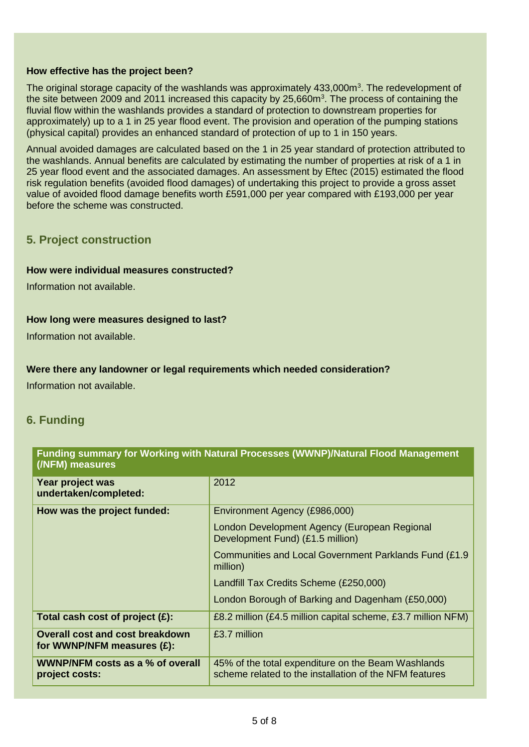#### **How effective has the project been?**

The original storage capacity of the washlands was approximately 433,000m<sup>3</sup>. The redevelopment of the site between 2009 and 2011 increased this capacity by  $25,660m^3$ . The process of containing the fluvial flow within the washlands provides a standard of protection to downstream properties for approximately) up to a 1 in 25 year flood event. The provision and operation of the pumping stations (physical capital) provides an enhanced standard of protection of up to 1 in 150 years.

Annual avoided damages are calculated based on the 1 in 25 year standard of protection attributed to the washlands. Annual benefits are calculated by estimating the number of properties at risk of a 1 in 25 year flood event and the associated damages. An assessment by Eftec (2015) estimated the flood risk regulation benefits (avoided flood damages) of undertaking this project to provide a gross asset value of avoided flood damage benefits worth £591,000 per year compared with £193,000 per year before the scheme was constructed.

#### **5. Project construction**

#### **How were individual measures constructed?**

Information not available.

#### **How long were measures designed to last?**

Information not available.

#### **Were there any landowner or legal requirements which needed consideration?**

Information not available.

### **6. Funding**

#### **Funding summary for Working with Natural Processes (WWNP)/Natural Flood Management (/NFM) measures**

| Year project was<br>undertaken/completed:                            | 2012                                                                                                         |
|----------------------------------------------------------------------|--------------------------------------------------------------------------------------------------------------|
| How was the project funded:                                          | Environment Agency (£986,000)                                                                                |
|                                                                      | London Development Agency (European Regional<br>Development Fund) (£1.5 million)                             |
|                                                                      | Communities and Local Government Parklands Fund (£1.9)<br>million)                                           |
|                                                                      | Landfill Tax Credits Scheme (£250,000)                                                                       |
|                                                                      | London Borough of Barking and Dagenham (£50,000)                                                             |
| Total cash cost of project $(E)$ :                                   | £8.2 million (£4.5 million capital scheme, £3.7 million NFM)                                                 |
| <b>Overall cost and cost breakdown</b><br>for WWNP/NFM measures (£): | £3.7 million                                                                                                 |
| WWNP/NFM costs as a % of overall<br>project costs:                   | 45% of the total expenditure on the Beam Washlands<br>scheme related to the installation of the NFM features |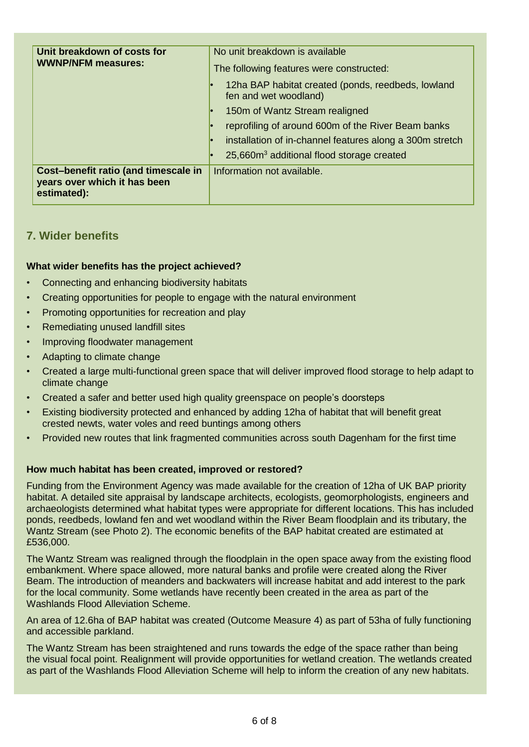| Unit breakdown of costs for<br><b>WWNP/NFM measures:</b>                            | No unit breakdown is available<br>The following features were constructed:  |
|-------------------------------------------------------------------------------------|-----------------------------------------------------------------------------|
|                                                                                     | 12ha BAP habitat created (ponds, reedbeds, lowland<br>fen and wet woodland) |
|                                                                                     | 150m of Wantz Stream realigned                                              |
|                                                                                     | reprofiling of around 600m of the River Beam banks                          |
|                                                                                     | installation of in-channel features along a 300m stretch                    |
|                                                                                     | 25,660m <sup>3</sup> additional flood storage created                       |
| Cost-benefit ratio (and timescale in<br>years over which it has been<br>estimated): | Information not available.                                                  |

# **7. Wider benefits**

#### **What wider benefits has the project achieved?**

- Connecting and enhancing biodiversity habitats
- Creating opportunities for people to engage with the natural environment
- Promoting opportunities for recreation and play
- Remediating unused landfill sites
- Improving floodwater management
- Adapting to climate change
- Created a large multi-functional green space that will deliver improved flood storage to help adapt to climate change
- Created a safer and better used high quality greenspace on people's doorsteps
- Existing biodiversity protected and enhanced by adding 12ha of habitat that will benefit great crested newts, water voles and reed buntings among others
- Provided new routes that link fragmented communities across south Dagenham for the first time

#### **How much habitat has been created, improved or restored?**

Funding from the Environment Agency was made available for the creation of 12ha of UK BAP priority habitat. A detailed site appraisal by landscape architects, ecologists, geomorphologists, engineers and archaeologists determined what habitat types were appropriate for different locations. This has included ponds, reedbeds, lowland fen and wet woodland within the River Beam floodplain and its tributary, the Wantz Stream (see Photo 2). The economic benefits of the BAP habitat created are estimated at £536,000.

The Wantz Stream was realigned through the floodplain in the open space away from the existing flood embankment. Where space allowed, more natural banks and profile were created along the River Beam. The introduction of meanders and backwaters will increase habitat and add interest to the park for the local community. Some wetlands have recently been created in the area as part of the Washlands Flood Alleviation Scheme.

An area of 12.6ha of BAP habitat was created (Outcome Measure 4) as part of 53ha of fully functioning and accessible parkland.

The Wantz Stream has been straightened and runs towards the edge of the space rather than being the visual focal point. Realignment will provide opportunities for wetland creation. The wetlands created as part of the Washlands Flood Alleviation Scheme will help to inform the creation of any new habitats.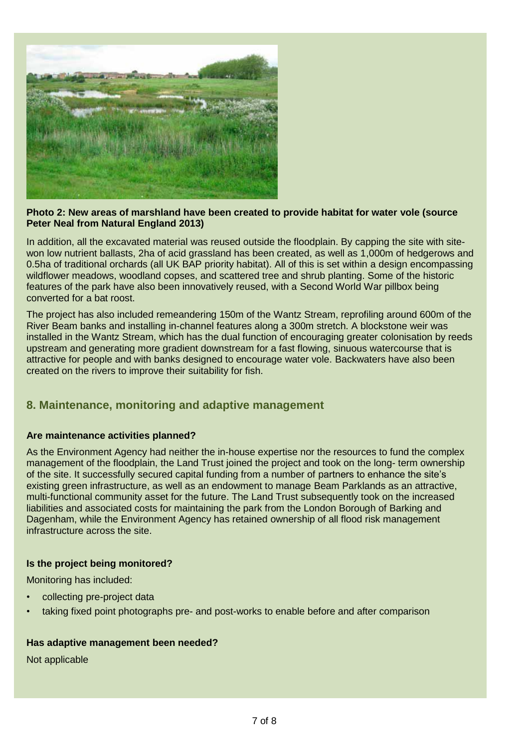

#### **Photo 2: New areas of marshland have been created to provide habitat for water vole (source Peter Neal from Natural England 2013)**

In addition, all the excavated material was reused outside the floodplain. By capping the site with sitewon low nutrient ballasts, 2ha of acid grassland has been created, as well as 1,000m of hedgerows and 0.5ha of traditional orchards (all UK BAP priority habitat). All of this is set within a design encompassing wildflower meadows, woodland copses, and scattered tree and shrub planting. Some of the historic features of the park have also been innovatively reused, with a Second World War pillbox being converted for a bat roost.

The project has also included remeandering 150m of the Wantz Stream, reprofiling around 600m of the River Beam banks and installing in-channel features along a 300m stretch. A blockstone weir was installed in the Wantz Stream, which has the dual function of encouraging greater colonisation by reeds upstream and generating more gradient downstream for a fast flowing, sinuous watercourse that is attractive for people and with banks designed to encourage water vole. Backwaters have also been created on the rivers to improve their suitability for fish.

# **8. Maintenance, monitoring and adaptive management**

#### **Are maintenance activities planned?**

As the Environment Agency had neither the in-house expertise nor the resources to fund the complex management of the floodplain, the Land Trust joined the project and took on the long- term ownership of the site. It successfully secured capital funding from a number of partners to enhance the site's existing green infrastructure, as well as an endowment to manage Beam Parklands as an attractive, multi-functional community asset for the future. The Land Trust subsequently took on the increased liabilities and associated costs for maintaining the park from the London Borough of Barking and Dagenham, while the Environment Agency has retained ownership of all flood risk management infrastructure across the site.

#### **Is the project being monitored?**

Monitoring has included:

- collecting pre-project data
- taking fixed point photographs pre- and post-works to enable before and after comparison

#### **Has adaptive management been needed?**

Not applicable